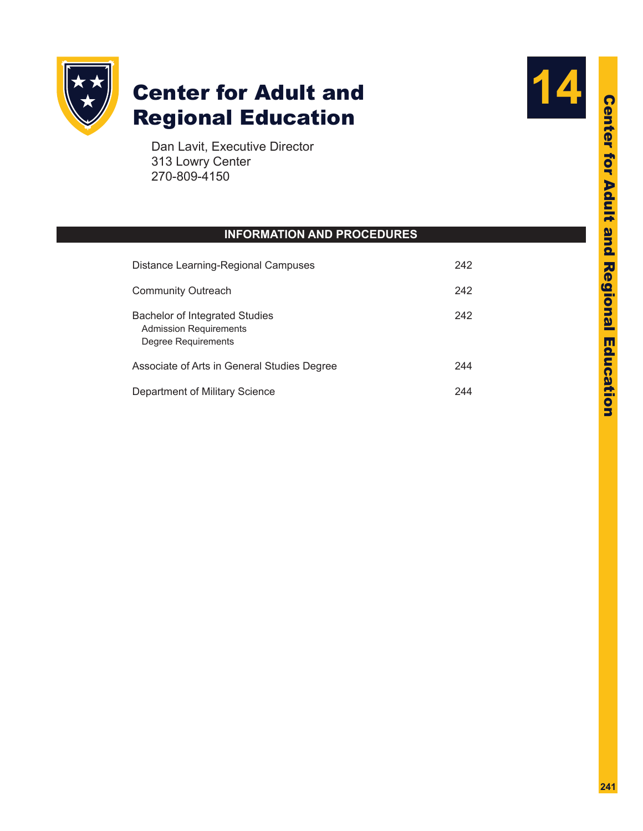

# **Center for Adult and** Regional Education

Dan Lavit, Executive Director 313 Lowry Center 270-809-4150

# **INFORMATION AND PROCEDURES**

| Distance Learning-Regional Campuses                                                           | 242 |
|-----------------------------------------------------------------------------------------------|-----|
| <b>Community Outreach</b>                                                                     | 242 |
| <b>Bachelor of Integrated Studies</b><br><b>Admission Requirements</b><br>Degree Requirements | 242 |
| Associate of Arts in General Studies Degree                                                   |     |
| Department of Military Science                                                                |     |

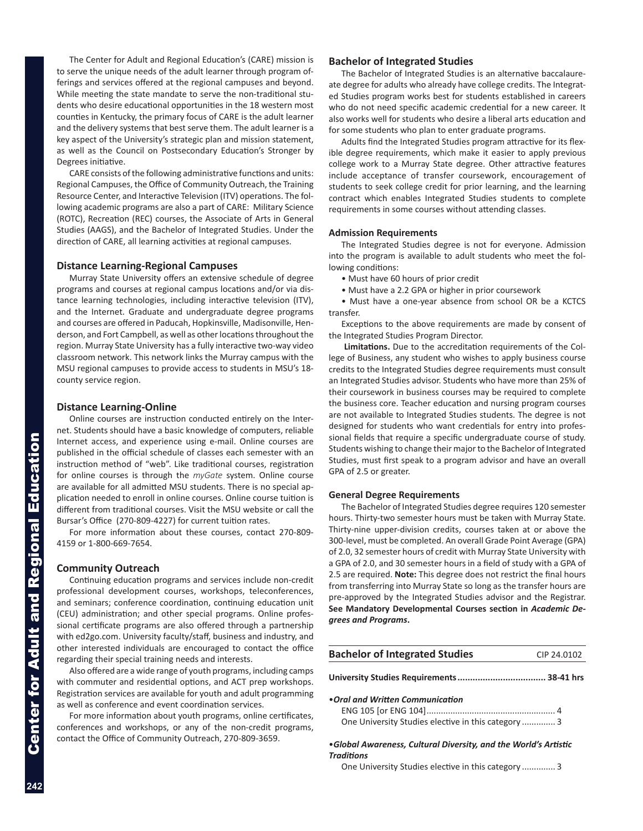<span id="page-1-0"></span>The Center for Adult and Regional Education's (CARE) mission is to serve the unique needs of the adult learner through program offerings and services offered at the regional campuses and beyond. While meeting the state mandate to serve the non-traditional stu dents who desire educational opportunities in the 18 western most counties in Kentucky, the primary focus of CARE is the adult learner and the delivery systems that best serve them. The adult learner is a key aspect of the University's strategic plan and mission statement, as well as the Council on Postsecondary Education's Stronger by Degrees initiative.

CARE consists of the following administrative functions and units: Regional Campuses, the Office of Community Outreach, the Training Resource Center, and Interactive Television (ITV) operations. The fol lowing academic programs are also a part of CARE: Military Science (ROTC), Recreation (REC) courses, the Associate of Arts in General Studies (AAGS), and the Bachelor of Integrated Studies. Under the direction of CARE, all learning activities at regional campuses.

#### **Distance Learning-Regional Campuses**

Murray State University offers an extensive schedule of degree programs and courses at regional campus locations and/or via dis tance learning technologies, including interactive television (ITV), and the Internet. Graduate and undergraduate degree programs and courses are offered in Paducah, Hopkinsville, Madisonville, Hen derson, and Fort Campbell, as well as other locations throughout the region. Murray State University has a fully interactive two-way video classroom network. This network links the Murray campus with the MSU regional campuses to provide access to students in MSU's 18 county service region.

# **Distance Learning-Online**

Online courses are instruction conducted entirely on the Inter net. Students should have a basic knowledge of computers, reliable Internet access, and experience using e-mail. Online courses are published in the official schedule of classes each semester with an instruction method of "web". Like traditional courses, registration for online courses is through the *myGate* system. Online course are available for all admitted MSU students. There is no special ap plication needed to enroll in online courses. Online course tuition is different from traditional courses. Visit the MSU website or call the Bursar's Office (270-809-4227) for current tuition rates.

For more information about these courses, contact 270-809- 4159 or 1-800-669-7654.

#### **Community Outreach**

Continuing education programs and services include non-credit professional development courses, workshops, teleconferences, and seminars; conference coordination, continuing education unit (CEU) administration; and other special programs. Online profes sional certificate programs are also offered through a partnership with ed2go.com. University faculty/staff, business and industry, and other interested individuals are encouraged to contact the office regarding their special training needs and interests.

Also offered are a wide range of youth programs, including camps with commuter and residential options, and ACT prep workshops. Registration services are available for youth and adult programming as well as conference and event coordination services.

For more information about youth programs, online certificates, conferences and workshops, or any of the non-credit programs, contact the Office of Community Outreach, 270-809-3659.

#### **Bachelor of Integrated Studies**

The Bachelor of Integrated Studies is an alternative baccalaure ate degree for adults who already have college credits. The Integrat ed Studies program works best for students established in careers who do not need specific academic credential for a new career. It also works well for students who desire a liberal arts education and for some students who plan to enter graduate programs.

Adults find the Integrated Studies program attractive for its flex ible degree requirements, which make it easier to apply previous college work to a Murray State degree. Other attractive features include acceptance of transfer coursework, encouragement of students to seek college credit for prior learning, and the learning contract which enables Integrated Studies students to complete requirements in some courses without attending classes.

#### **Admission Requirements**

The Integrated Studies degree is not for everyone. Admission into the program is available to adult students who meet the fol lowing conditions:

• Must have 60 hours of prior credit

• Must have a 2.2 GPA or higher in prior coursework

• Must have a one-year absence from school OR be a KCTCS transfer.

Exceptions to the above requirements are made by consent of the Integrated Studies Program Director.

**Limitations.** Due to the accreditation requirements of the Col lege of Business, any student who wishes to apply business course credits to the Integrated Studies degree requirements must consult an Integrated Studies advisor. Students who have more than 25% of their coursework in business courses may be required to complete the business core. Teacher education and nursing program courses are not available to Integrated Studies students. The degree is not designed for students who want credentials for entry into profes sional fields that require a specific undergraduate course of study. Students wishing to change their major to the Bachelor of Integrated Studies, must first speak to a program advisor and have an overall GPA of 2.5 or greater.

#### **General Degree Requirements**

The Bachelor of Integrated Studies degree requires 120 semester hours. Thirty-two semester hours must be taken with Murray State. Thirty-nine upper-division credits, courses taken at or above the 300-level, must be completed. An overall Grade Point Average (GPA) of 2.0, 32 semester hours of credit with Murray State University with a GPA of 2.0, and 30 semester hours in a field of study with a GPA of 2.5 are required. **Note:** This degree does not restrict the final hours from transferring into Murray State so long as the transfer hours are pre-approved by the Integrated Studies advisor and the Registrar. **See Mandatory Developmental Courses section in** *Academic De grees and Programs* **.**

| <b>Bachelor of Integrated Studies</b><br>CIP 24.0102 |  |  |  |
|------------------------------------------------------|--|--|--|
|                                                      |  |  |  |
| • Oral and Written Communication                     |  |  |  |
|                                                      |  |  |  |
| One University Studies elective in this category3    |  |  |  |

•*Global Awareness, Cultural Diversity, and the World's Artistic Traditions*

One University Studies elective in this category .............. 3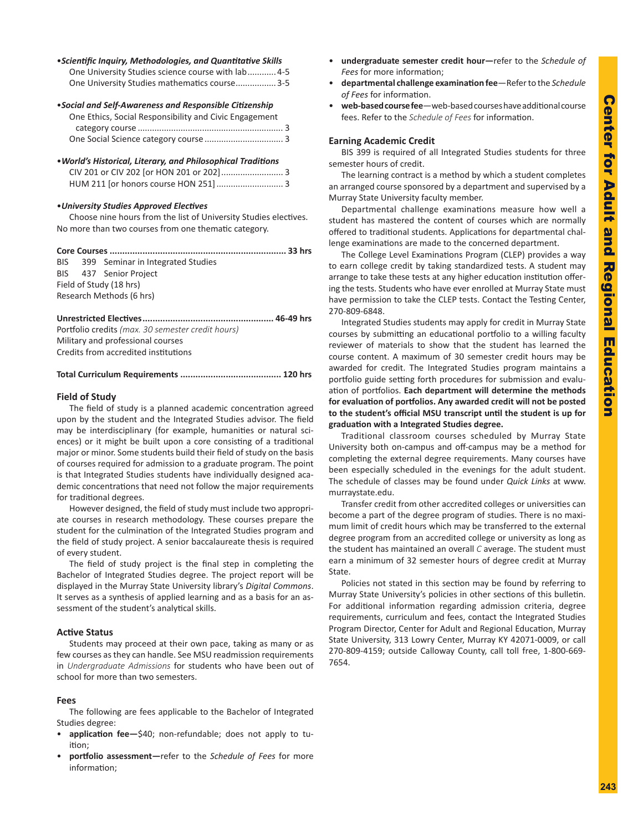## •*Scientific Inquiry, Methodologies, and Quantitative Skills*

| One University Studies science course with lab 4-5 |
|----------------------------------------------------|
| One University Studies mathematics course3-5       |

| • Social and Self-Awareness and Responsible Citizenship |  |  |
|---------------------------------------------------------|--|--|
| One Ethics, Social Responsibility and Civic Engagement  |  |  |
|                                                         |  |  |
|                                                         |  |  |

•*World's Historical, Literary, and Philosophical Traditions* CIV 201 or CIV 202 [or HON 201 or 202].......................... 3 HUM 211 [or honors course HON 251]............................ 3

#### •*University Studies Approved Electives*

Choose nine hours from the list of University Studies electives. No more than two courses from one thematic category .

|  | BIS 399 Seminar in Integrated Studies |  |
|--|---------------------------------------|--|
|  | BIS 437 Senior Project                |  |
|  | Field of Study (18 hrs)               |  |
|  | Research Methods (6 hrs)              |  |
|  |                                       |  |

Portfolio credits *(max. 30 semester credit hours)* Military and professional courses Credits from accredited institutions

#### **Total Curriculum Requirements ........................................ 120 hrs**

#### **Field of Study**

The field of study is a planned academic concentration agreed upon by the student and the Integrated Studies advisor. The field may be interdisciplinary (for example, humanities or natural sci ences) or it might be built upon a core consisting of a traditional major or minor. Some students build their field of study on the basis of courses required for admission to a graduate program. The point is that Integrated Studies students have individually designed aca demic concentrations that need not follow the major requirements for traditional degrees.

However designed, the field of study must include two appropri ate courses in research methodology. These courses prepare the student for the culmination of the Integrated Studies program and the field of study project. A senior baccalaureate thesis is required of every student.

The field of study project is the final step in completing the Bachelor of Integrated Studies degree. The project report will be displayed in the Murray State University library's *Digital Commons*. It serves as a synthesis of applied learning and as a basis for an as sessment of the student's analytical skills.

#### **Active Status**

Students may proceed at their own pace, taking as many or as few courses as they can handle. See MSU readmission requirements in *Undergraduate Admissions* for students who have been out of school for more than two semesters.

#### **Fees**

The following are fees applicable to the Bachelor of Integrated Studies degree:

- application fee-\$40; non-refundable; does not apply to tuition;
- **portfolio assessment**—refer to the *Schedule of Fees* for more information;
- • **undergraduate semester credit hour—**refer to the *Schedule of Fees* for more information;
- • **departmental challenge examination fee**—Refer to the *Schedule of Fees* for information.
- web-based course fee-web-based courses have additional course fees. Refer to the *Schedule of Fees* for information.

#### **Earning Academic Credit**

BIS 399 is required of all Integrated Studies students for three semester hours of credit.

The learning contract is a method by which a student completes an arranged course sponsored by a department and supervised by a Murray State University faculty member.

Departmental challenge examinations measure how well a student has mastered the content of courses which are normally offered to traditional students. Applications for departmental chal lenge examinations are made to the concerned department.

The College Level Examinations Program (CLEP) provides a way to earn college credit by taking standardized tests. A student may arrange to take these tests at any higher education institution offer ing the tests. Students who have ever enrolled at Murray State must have permission to take the CLEP tests. Contact the Testing Center, 270-809-6848.

Integrated Studies students may apply for credit in Murray State courses by submitting an educational portfolio to a willing faculty reviewer of materials to show that the student has learned the course content. A maximum of 30 semester credit hours may be awarded for credit. The Integrated Studies program maintains a portfolio guide setting forth procedures for submission and evalu ation of portfolios. **Each department will determine the methods for evaluation of portfolios. Any awarded credit will not be posted to the student's official MSU transcript until the student is up for graduation with a Integrated Studies degree.**

Traditional classroom courses scheduled by Murray State University both on-campus and off-campus may be a method for completing the external degree requirements. Many courses have been especially scheduled in the evenings for the adult student. The schedule of classes may be found under *Quick Links* at www. murraystate.edu.

Transfer credit from other accredited colleges or universities can become a part of the degree program of studies. There is no maxi mum limit of credit hours which may be transferred to the external degree program from an accredited college or university as long as the student has maintained an overall *C* average. The student must earn a minimum of 32 semester hours of degree credit at Murray State.

Policies not stated in this section may be found by referring to Murray State University's policies in other sections of this bulletin. For additional information regarding admission criteria, degree requirements, curriculum and fees, contact the Integrated Studies Program Director, Center for Adult and Regional Education, Murray State University, 313 Lowry Center, Murray KY 42071-0009, or call 270-809-4159; outside Calloway County, call toll free, 1-800-669- 7654.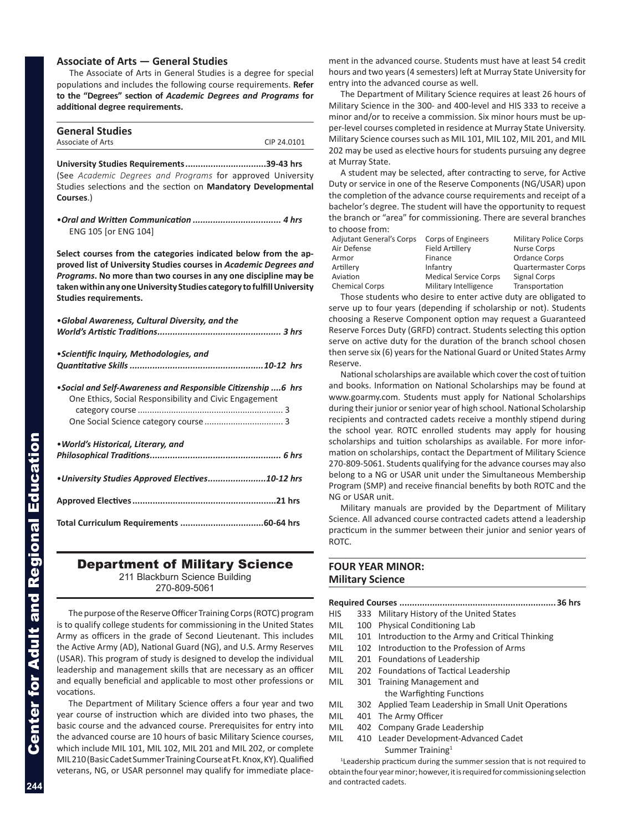## <span id="page-3-0"></span>**Associate of Arts — General Studies**

The Associate of Arts in General Studies is a degree for special populations and includes the following course requirements. **Refer to the "Degrees" section of** *Academic Degrees and Programs* **for additional degree requirements.**

| <b>General Studies</b> |             |
|------------------------|-------------|
| Associate of Arts      | CIP 24,0101 |
|                        |             |

**University Studies Requirements................................39-43 hrs** (See *Academic Degrees and Programs* for approved University Studies selections and the section on **Mandatory Developmental Courses**.)

•*Oral and Written Communication ................................... 4 hrs*  ENG 105 [or ENG 104]

**Select courses from the categories indicated below from the ap proved list of University Studies courses in** *Academic Degrees and Programs***. No more than two courses in any one discipline may be taken within any one University Studies category to fulfill University Studies requirements.**

| •Global Awareness, Cultural Diversity, and the                                                                         |  |  |
|------------------------------------------------------------------------------------------------------------------------|--|--|
| • Scientific Inquiry, Methodologies, and                                                                               |  |  |
| •Social and Self-Awareness and Responsible Citizenship 6 hrs<br>One Ethics, Social Responsibility and Civic Engagement |  |  |
| • World's Historical, Literary, and                                                                                    |  |  |
| . University Studies Approved Electives10-12 hrs                                                                       |  |  |
|                                                                                                                        |  |  |
|                                                                                                                        |  |  |

# Department of Military Science

211 Blackburn Science Building

270-809-5061

The purpose of the Reserve Officer Training Corps (ROTC) program is to qualify college students for commissioning in the United States Army as officers in the grade of Second Lieutenant. This includes the Active Army (AD), National Guard (NG), and U.S. Army Reserves (USAR). This program of study is designed to develop the individual leadership and management skills that are necessary as an officer and equally beneficial and applicable to most other professions or vocations.

The Department of Military Science offers a four year and two year course of instruction which are divided into two phases, the basic course and the advanced course. Prerequisites for entry into the advanced course are 10 hours of basic Military Science courses, which include MIL 101, MIL 102, MIL 201 and MIL 202, or complete MIL 210 (Basic Cadet Summer Training Course at Ft. Knox, KY). Qualified veterans, NG, or USAR personnel may qualify for immediate place -

ment in the advanced course. Students must have at least 54 credit hours and two years (4 semesters) left at Murray State University for entry into the advanced course as well.

The Department of Military Science requires at least 26 hours of Military Science in the 300- and 400-level and HIS 333 to receive a minor and/or to receive a commission. Six minor hours must be up per-level courses completed in residence at Murray State University. Military Science courses such as MIL 101, MIL 102, MIL 201, and MIL 202 may be used as elective hours for students pursuing any degree at Murray State.

A student may be selected, after contracting to serve, for Active Duty or service in one of the Reserve Components (NG/USAR) upon the completion of the advance course requirements and receipt of a bachelor's degree. The student will have the opportunity to request the branch or "area" for commissioning. There are several branches to choose from:

| <b>Adjutant General's Corps</b> | Corps of Engineers           | <b>Military Police Corps</b> |
|---------------------------------|------------------------------|------------------------------|
| Air Defense                     | <b>Field Artillery</b>       | Nurse Corps                  |
| Armor                           | Finance                      | Ordance Corps                |
| Artillery                       | Infantry                     | <b>Quartermaster Corps</b>   |
| Aviation                        | <b>Medical Service Corps</b> | Signal Corps                 |
| <b>Chemical Corps</b>           | Military Intelligence        | Transportation               |
|                                 |                              |                              |

Those students who desire to enter active duty are obligated to serve up to four years (depending if scholarship or not). Students choosing a Reserve Component option may request a Guaranteed Reserve Forces Duty (GRFD) contract. Students selecting this option serve on active duty for the duration of the branch school chosen then serve six (6) years for the National Guard or United States Army Reserve.

National scholarships are available which cover the cost of tuition and books. Information on National Scholarships may be found at www.goarmy.com. Students must apply for National Scholarships during their junior or senior year of high school. National Scholarship recipients and contracted cadets receive a monthly stipend during the school year. ROTC enrolled students may apply for housing scholarships and tuition scholarships as available. For more infor mation on scholarships, contact the Department of Military Science 270-809-5061. Students qualifying for the advance courses may also belong to a NG or USAR unit under the Simultaneous Membership Program (SMP) and receive financial benefits by both ROTC and the NG or USAR unit.

Military manuals are provided by the Department of Military Science. All advanced course contracted cadets attend a leadership practicum in the summer between their junior and senior years of ROTC.

# **FOUR YEAR MINOR: Military Science**

| HIS  | 333 | Military History of the United States                                                                          |  |  |
|------|-----|----------------------------------------------------------------------------------------------------------------|--|--|
| MIL  | 100 | <b>Physical Conditioning Lab</b>                                                                               |  |  |
| MIL. |     | 101 Introduction to the Army and Critical Thinking                                                             |  |  |
| MIL  |     | 102 Introduction to the Profession of Arms                                                                     |  |  |
| MIL  |     | 201 Foundations of Leadership                                                                                  |  |  |
| MIL. |     | 202 Foundations of Tactical Leadership                                                                         |  |  |
| MIL  |     | 301 Training Management and                                                                                    |  |  |
|      |     | the Warfighting Functions                                                                                      |  |  |
| MIL  |     | 302 Applied Team Leadership in Small Unit Operations                                                           |  |  |
| MIL  |     | 401 The Army Officer                                                                                           |  |  |
| MIL. |     | 402 Company Grade Leadership                                                                                   |  |  |
| MIL. |     | 410 Leader Development-Advanced Cadet                                                                          |  |  |
|      |     | Summer Training <sup>1</sup>                                                                                   |  |  |
|      |     | di serai serai berakhan sebagai serai sebagai serai serai serai serai serai serai serai serai serai di berakha |  |  |

<sup>1</sup> Leadership practicum during the summer session that is not required to obtain the four year minor; however, it is required for commissioning selection and contracted cadets.

**244**